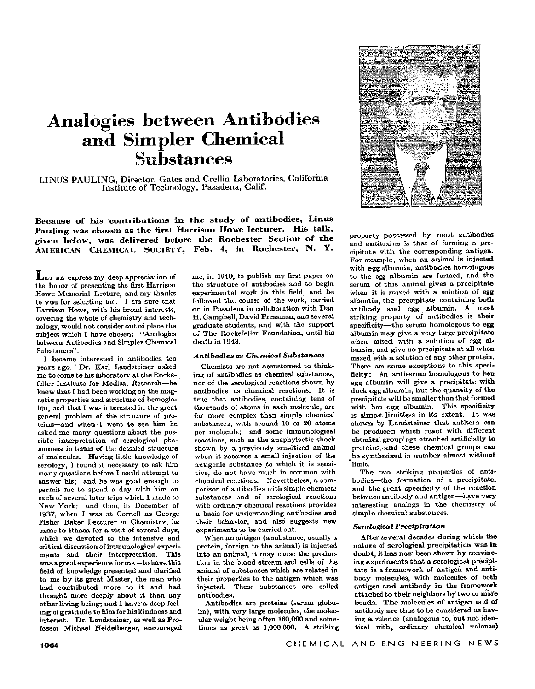# Analogies between Antibodies and Simpler Chemical **Substances**

**LINUS PAULING, Director, Gates and Crellin Laboratories, California Institute of Technology, Pasadena, Calif.** 

**Becaus e o f his contribution s i n th e stud y o f antibodies, Linu s Paulin g wa s chose n a s th e first Harrison Howe lecturer . His talk, given below, wa s delivered before th e Rocheste r Section o f th e AMERICAN CHEMICAL SOCIETY, Feb. 4, in Rochester, Ν. Υ.** 

**JLE T ME express my deep appreciation of the honor of presenting the first Harrison Howe Memorial Lecture, and my thanks to you for selecting me. I am sure that Harrison Howe, with his broad interests, covering the whole of chemistry and technology, would not consider out of place the subject which I have chosen: "Analogies between Antibodies and Simpler Chemical Substances".** 

**I became interested in antibodies ten years ago. ' Dr. Karl Landsteiner asked me to come** *t»* **his laboratory at the Rocke-, feller Institute for Medical Research—he knew that I had been working on the magnetic properties and structure of hemoglobin, and that I was interested in the great general problem of the structure of proteins—and when·I went to see him he asked me many questions about the possible interpretation of serological phenomena in terms of the detailed structure of molecules. Having little knowledge of**  serology, I found it necessary to ask him **many questions before I could attempt to answer his; and he was good enough to permit me to spend a day with him on each of several later trips which I made to New York; and then, in December of 1937, when I was at Cornell as George Fisher Baker Lecturer in Chemistry, he**  came to Ithaca for a visit of several days, **which we devoted to the intensive and critical discussion of immunological experiments and their interpretation. This was a great experience for me—to have this field of knowledge presented and clarified to me by its great Master, the man who had contributed more to it and had thought more deeply about it than any other living being; and I have a deep feeling of gratitude to him for his kindness and interest. Dr. Landsteiner, as well as Professor Michael Heidelberger, encouraged**  **me, in 1940, to publish my first paper on the structure of antibodies and to begin experimental work in this field, and he followed the course of the work, carried on in Pasadena in collaboration with Dan H. Campbell, David Pressman, and several graduate students, and with the support of The Rockefeller Foundation, until his death in 1943.** 

## *Antibodies as Chemical Substances*

**Chemists are not accustomed to thinking of antibodies as chemical substances, nor of the serological reactions shown by antibodies as chemical reactions. It is true that antibodies, containing tens of thousands of atoms in each molecule, are far more complex than simple chemical substances, with around 10 or 20 atoms per molecule; and some immunological reactions, such as the anaphylactic shock shown by a previously sensitized animal when it receives a small injection of the antigenic substance to which it is sensitive, do not have much in common with chemical reactions. Nevertheless, a comparison of antibodies with simple chemical substances and of serological reactions with ordinary chemical reactions provides a basis for understanding antibodies and their behavior, and also suggests new experiments to be carried out.** 

**When an antigen (a substance, usually a protein, foreign to the animal) is injected into an animal, it may cause the production in the blood stream and cells of the animal of substances which are related in their properties to the antigen which was injected. These substances are called antibodies.** 

**Antibodies are proteins (serum globulin), with very large molecules, the molecular weight being often 160,000 and sometimes as great as 1,000,000. A striking** 



**property possessed by most antibodies and antitoxins is that of forming a precipitate with the corresponding antigen. For example, when an animal is injected with egg albumin, antibodies homologous to the egg albumin are formed, and the serum of this animal gives a precipitate when it is mixed with a solution of egg albumin, the precipitate containing both antibody and egg albumin. A most striking property of antibodies is their**  specificity—the serum homologous to egg **albumin may give a very large precipitate when mixed with a solution of egg albumin, and give no precipitate at all when mixed with a solution of any other protein. There are some exceptions to this specificity: An antiserum homologous to hen egg albumin will give a precipitate with duck egg albumin, but the quantity of the precipitate will be smaller than that formed**  with hen egg albumin. This specificity **is almost limitless in its extent. It was shown by Landsteiner that antisera can be produced which react with different chemical groupings attached artificially to proteins, and these chemical groups can be synthesized in number almost without limit.** 

The two striking properties of anti**bodies—the formation of a precipitate, and the great specificity of the reaction between antibody and antigen—have very interesting analogs in the chemistry of simple chemical substances.** 

## *Serological Precipitation*

**After several decades during which the nature of serological-precipitation was in doubt, it has now been shown by convincing experiments that a serological precipitate is a framework of antigen and antibody molecules, with molecules of both antigen and antibody in the framework attached t o their neighbors by two or more**  bonds. The molecules of antigen and of **antibody are thus to be considered as having a valence (analogous to, but not identical with, ordinary chemical valence)**